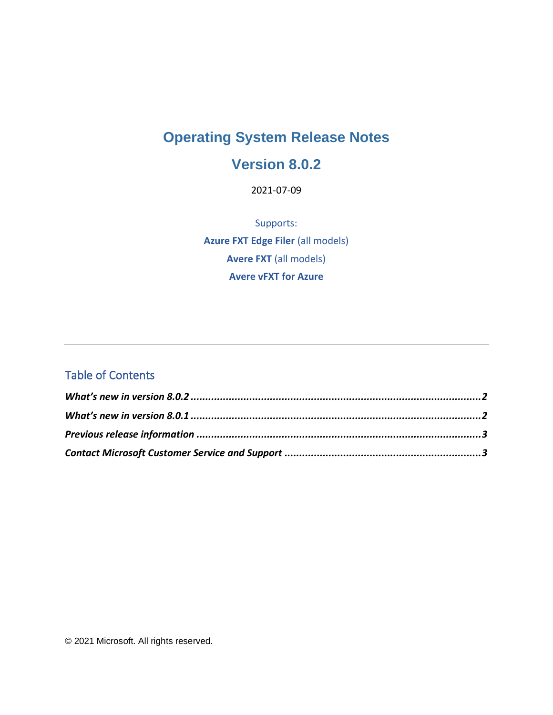# **Operating System Release Notes**

#### **Version 8.0.2**

2021-07-09

Supports: **Azure FXT Edge Filer** (all models) **Avere FXT** (all models) **Avere vFXT for Azure**

#### Table of Contents

© 2021 Microsoft. All rights reserved.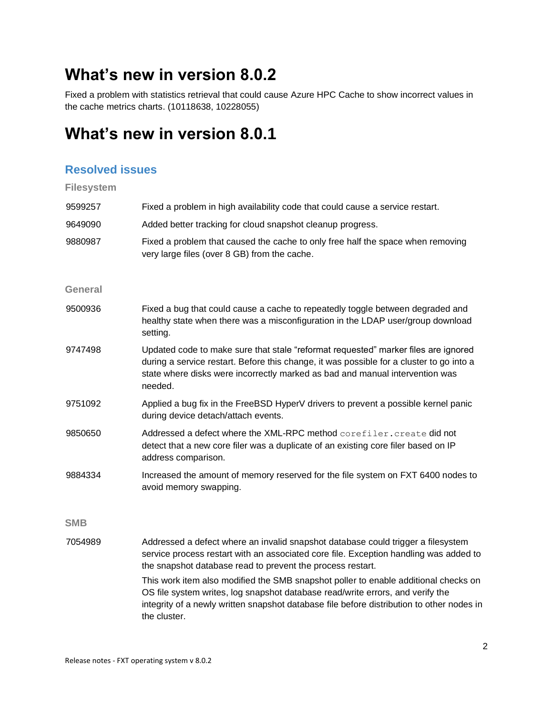# <span id="page-1-0"></span>**What's new in version 8.0.2**

Fixed a problem with statistics retrieval that could cause Azure HPC Cache to show incorrect values in the cache metrics charts. (10118638, 10228055)

### <span id="page-1-1"></span>**What's new in version 8.0.1**

#### **Resolved issues**

| <b>Filesystem</b> |  |
|-------------------|--|
|-------------------|--|

| 9599257        | Fixed a problem in high availability code that could cause a service restart.                                                                                                                                                                                                                                                                                                                                                                                                                                                 |
|----------------|-------------------------------------------------------------------------------------------------------------------------------------------------------------------------------------------------------------------------------------------------------------------------------------------------------------------------------------------------------------------------------------------------------------------------------------------------------------------------------------------------------------------------------|
| 9649090        | Added better tracking for cloud snapshot cleanup progress.                                                                                                                                                                                                                                                                                                                                                                                                                                                                    |
| 9880987        | Fixed a problem that caused the cache to only free half the space when removing<br>very large files (over 8 GB) from the cache.                                                                                                                                                                                                                                                                                                                                                                                               |
| <b>General</b> |                                                                                                                                                                                                                                                                                                                                                                                                                                                                                                                               |
| 9500936        | Fixed a bug that could cause a cache to repeatedly toggle between degraded and<br>healthy state when there was a misconfiguration in the LDAP user/group download<br>setting.                                                                                                                                                                                                                                                                                                                                                 |
| 9747498        | Updated code to make sure that stale "reformat requested" marker files are ignored<br>during a service restart. Before this change, it was possible for a cluster to go into a<br>state where disks were incorrectly marked as bad and manual intervention was<br>needed.                                                                                                                                                                                                                                                     |
| 9751092        | Applied a bug fix in the FreeBSD HyperV drivers to prevent a possible kernel panic<br>during device detach/attach events.                                                                                                                                                                                                                                                                                                                                                                                                     |
| 9850650        | Addressed a defect where the XML-RPC method corefiler.create did not<br>detect that a new core filer was a duplicate of an existing core filer based on IP<br>address comparison.                                                                                                                                                                                                                                                                                                                                             |
| 9884334        | Increased the amount of memory reserved for the file system on FXT 6400 nodes to<br>avoid memory swapping.                                                                                                                                                                                                                                                                                                                                                                                                                    |
| <b>SMB</b>     |                                                                                                                                                                                                                                                                                                                                                                                                                                                                                                                               |
| 7054989        | Addressed a defect where an invalid snapshot database could trigger a filesystem<br>service process restart with an associated core file. Exception handling was added to<br>the snapshot database read to prevent the process restart.<br>This work item also modified the SMB snapshot poller to enable additional checks on<br>OS file system writes, log snapshot database read/write errors, and verify the<br>integrity of a newly written snapshot database file before distribution to other nodes in<br>the cluster. |